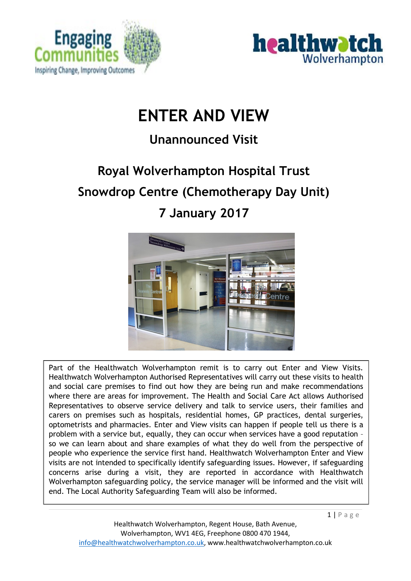



# **ENTER AND VIEW**

# **Unannounced Visit**

# **Royal Wolverhampton Hospital Trust Snowdrop Centre (Chemotherapy Day Unit) 7 January 2017**



Part of the Healthwatch Wolverhampton remit is to carry out Enter and View Visits. Healthwatch Wolverhampton Authorised Representatives will carry out these visits to health and social care premises to find out how they are being run and make recommendations where there are areas for improvement. The Health and Social Care Act allows Authorised Representatives to observe service delivery and talk to service users, their families and carers on premises such as hospitals, residential homes, GP practices, dental surgeries, optometrists and pharmacies. Enter and View visits can happen if people tell us there is a problem with a service but, equally, they can occur when services have a good reputation – so we can learn about and share examples of what they do well from the perspective of people who experience the service first hand. Healthwatch Wolverhampton Enter and View visits are not intended to specifically identify safeguarding issues. However, if safeguarding concerns arise during a visit, they are reported in accordance with Healthwatch Wolverhampton safeguarding policy, the service manager will be informed and the visit will end. The Local Authority Safeguarding Team will also be informed.

 $1 | P \text{age}$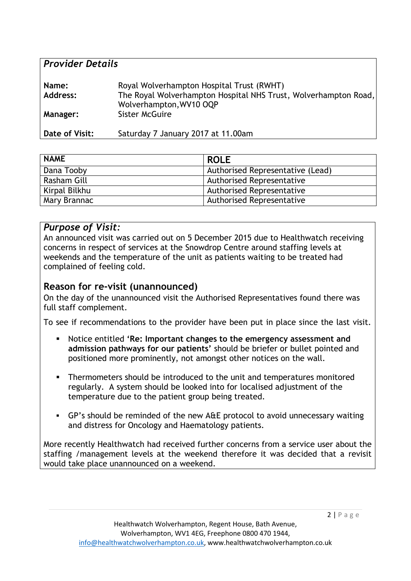| <b>Provider Details</b> |                                                                                                                                         |  |
|-------------------------|-----------------------------------------------------------------------------------------------------------------------------------------|--|
| Name:<br>Address:       | Royal Wolverhampton Hospital Trust (RWHT)<br>The Royal Wolverhampton Hospital NHS Trust, Wolverhampton Road,<br>Wolverhampton, WV10 OQP |  |
| <b>Manager:</b>         | <b>Sister McGuire</b>                                                                                                                   |  |
| Date of Visit:          | Saturday 7 January 2017 at 11.00am                                                                                                      |  |

| <b>NAME</b>   | <b>ROLE</b>                      |
|---------------|----------------------------------|
| Dana Tooby    | Authorised Representative (Lead) |
| Rasham Gill   | <b>Authorised Representative</b> |
| Kirpal Bilkhu | <b>Authorised Representative</b> |
| Mary Brannac  | <b>Authorised Representative</b> |

#### *Purpose of Visit:*

An announced visit was carried out on 5 December 2015 due to Healthwatch receiving concerns in respect of services at the Snowdrop Centre around staffing levels at weekends and the temperature of the unit as patients waiting to be treated had complained of feeling cold.

#### **Reason for re-visit (unannounced)**

On the day of the unannounced visit the Authorised Representatives found there was full staff complement.

To see if recommendations to the provider have been put in place since the last visit.

- Notice entitled **'Re: Important changes to the emergency assessment and admission pathways for our patients'** should be briefer or bullet pointed and positioned more prominently, not amongst other notices on the wall.
- **Thermometers should be introduced to the unit and temperatures monitored** regularly. A system should be looked into for localised adjustment of the temperature due to the patient group being treated.
- GP's should be reminded of the new A&E protocol to avoid unnecessary waiting and distress for Oncology and Haematology patients.

More recently Healthwatch had received further concerns from a service user about the staffing /management levels at the weekend therefore it was decided that a revisit would take place unannounced on a weekend.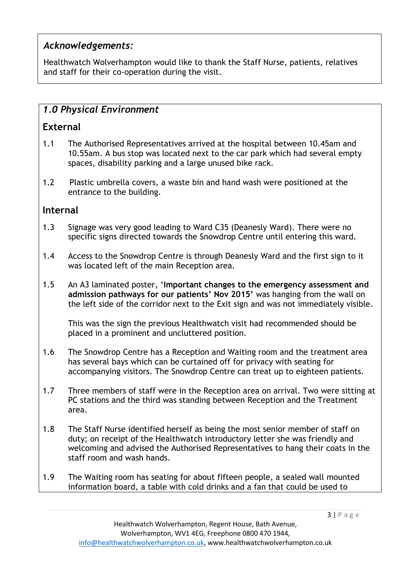# *Acknowledgements:*

Healthwatch Wolverhampton would like to thank the Staff Nurse, patients, relatives and staff for their co-operation during the visit.

# *1.0 Physical Environment*

## **External**

- 1.1 The Authorised Representatives arrived at the hospital between 10.45am and 10.55am. A bus stop was located next to the car park which had several empty spaces, disability parking and a large unused bike rack.
- 1.2 Plastic umbrella covers, a waste bin and hand wash were positioned at the entrance to the building.

#### **Internal**

- 1.3 Signage was very good leading to Ward C35 (Deanesly Ward). There were no specific signs directed towards the Snowdrop Centre until entering this ward.
- 1.4 Access to the Snowdrop Centre is through Deanesly Ward and the first sign to it was located left of the main Reception area.
- 1.5 An A3 laminated poster, '**Important changes to the emergency assessment and admission pathways for our patients' Nov 2015'** was hanging from the wall on the left side of the corridor next to the Exit sign and was not immediately visible.

This was the sign the previous Healthwatch visit had recommended should be placed in a prominent and uncluttered position.

- 1.6 The Snowdrop Centre has a Reception and Waiting room and the treatment area has several bays which can be curtained off for privacy with seating for accompanying visitors. The Snowdrop Centre can treat up to eighteen patients.
- 1.7 Three members of staff were in the Reception area on arrival. Two were sitting at PC stations and the third was standing between Reception and the Treatment area.
- 1.8 The Staff Nurse identified herself as being the most senior member of staff on duty; on receipt of the Healthwatch introductory letter she was friendly and welcoming and advised the Authorised Representatives to hang their coats in the staff room and wash hands.
- 1.9 The Waiting room has seating for about fifteen people, a sealed wall mounted information board, a table with cold drinks and a fan that could be used to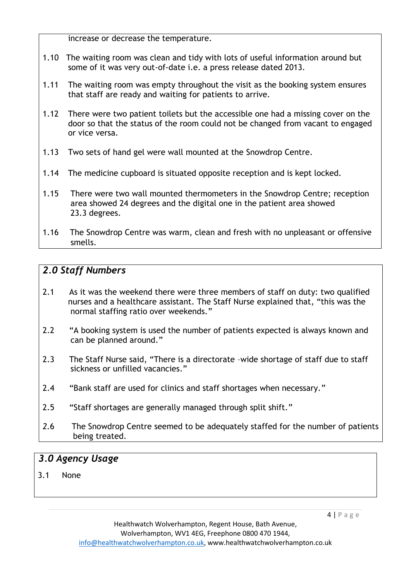increase or decrease the temperature.

- 1.10 The waiting room was clean and tidy with lots of useful information around but some of it was very out-of-date i.e. a press release dated 2013.
- 1.11 The waiting room was empty throughout the visit as the booking system ensures that staff are ready and waiting for patients to arrive.
- 1.12 There were two patient toilets but the accessible one had a missing cover on the door so that the status of the room could not be changed from vacant to engaged or vice versa.
- 1.13 Two sets of hand gel were wall mounted at the Snowdrop Centre.
- 1.14 The medicine cupboard is situated opposite reception and is kept locked.
- 1.15 There were two wall mounted thermometers in the Snowdrop Centre; reception area showed 24 degrees and the digital one in the patient area showed 23.3 degrees.
- 1.16 The Snowdrop Centre was warm, clean and fresh with no unpleasant or offensive smells.

# *2.0 Staff Numbers*

- 2.1 As it was the weekend there were three members of staff on duty: two qualified nurses and a healthcare assistant. The Staff Nurse explained that, "this was the normal staffing ratio over weekends."
- 2.2 "A booking system is used the number of patients expected is always known and can be planned around."
- 2.3 The Staff Nurse said, "There is a directorate –wide shortage of staff due to staff sickness or unfilled vacancies."
- 2.4 "Bank staff are used for clinics and staff shortages when necessary."
- 2.5 "Staff shortages are generally managed through split shift."
- *2.*6The Snowdrop Centre seemed to be adequately staffed for the number of patients being treated.

#### *3.0 Agency Usage*

3.1 None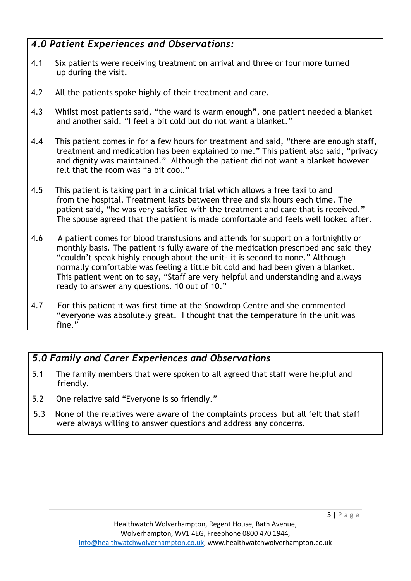# *4.0 Patient Experiences and Observations:*

- 4.1 Six patients were receiving treatment on arrival and three or four more turned up during the visit.
- 4.2 All the patients spoke highly of their treatment and care.
- 4.3 Whilst most patients said, "the ward is warm enough", one patient needed a blanket and another said, "I feel a bit cold but do not want a blanket."
- 4.4 This patient comes in for a few hours for treatment and said, "there are enough staff, treatment and medication has been explained to me." This patient also said, "privacy and dignity was maintained." Although the patient did not want a blanket however felt that the room was "a bit cool."
- 4.5 This patient is taking part in a clinical trial which allows a free taxi to and from the hospital. Treatment lasts between three and six hours each time. The patient said, "he was very satisfied with the treatment and care that is received." The spouse agreed that the patient is made comfortable and feels well looked after.
- 4.6 A patient comes for blood transfusions and attends for support on a fortnightly or monthly basis. The patient is fully aware of the medication prescribed and said they "couldn't speak highly enough about the unit- it is second to none." Although normally comfortable was feeling a little bit cold and had been given a blanket. This patient went on to say, "Staff are very helpful and understanding and always ready to answer any questions. 10 out of 10."
- 4.7 For this patient it was first time at the Snowdrop Centre and she commented "everyone was absolutely great. I thought that the temperature in the unit was fine."

# *5.0 Family and Carer Experiences and Observations*

- 5.1 The family members that were spoken to all agreed that staff were helpful and friendly.
- 5.2 One relative said "Everyone is so friendly."
- 5.3 None of the relatives were aware of the complaints process but all felt that staff were always willing to answer questions and address any concerns.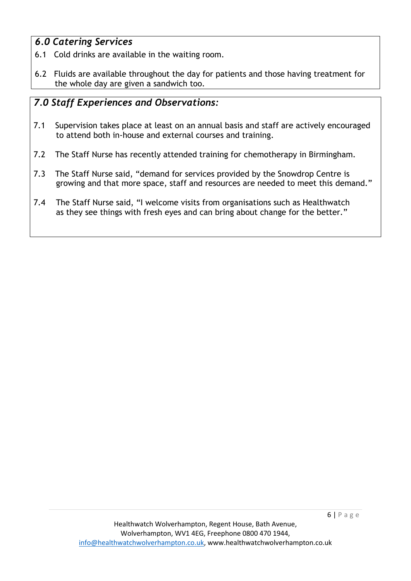# *6.0 Catering Services*

- 6.1 Cold drinks are available in the waiting room.
- 6.2 Fluids are available throughout the day for patients and those having treatment for the whole day are given a sandwich too.

# *7.0 Staff Experiences and Observations:*

- 7.1 Supervision takes place at least on an annual basis and staff are actively encouraged to attend both in-house and external courses and training.
- 7.2 The Staff Nurse has recently attended training for chemotherapy in Birmingham.
- 7.3 The Staff Nurse said, "demand for services provided by the Snowdrop Centre is growing and that more space, staff and resources are needed to meet this demand."
- 7.4 The Staff Nurse said, "I welcome visits from organisations such as Healthwatch as they see things with fresh eyes and can bring about change for the better."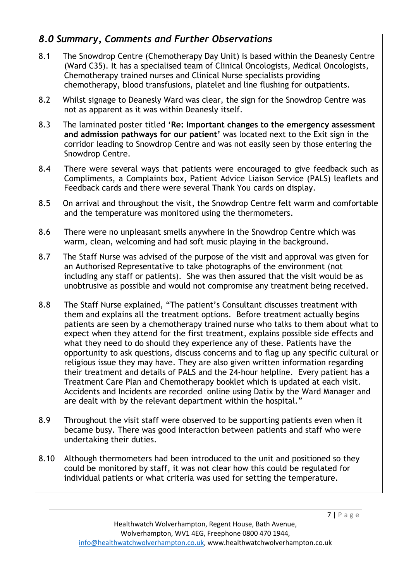# *8.0 Summary, Comments and Further Observations*

- 8.1 The Snowdrop Centre (Chemotherapy Day Unit) is based within the Deanesly Centre (Ward C35). It has a specialised team of Clinical Oncologists, Medical Oncologists, Chemotherapy trained nurses and Clinical Nurse specialists providing chemotherapy, blood transfusions, platelet and line flushing for outpatients.
- 8.2 Whilst signage to Deanesly Ward was clear, the sign for the Snowdrop Centre was not as apparent as it was within Deanesly itself.
- 8.3 The laminated poster titled **'Re: Important changes to the emergency assessment and admission pathways for our patient'** was located next to the Exit sign in the corridor leading to Snowdrop Centre and was not easily seen by those entering the Snowdrop Centre.
- 8.4 There were several ways that patients were encouraged to give feedback such as Compliments, a Complaints box, Patient Advice Liaison Service (PALS) leaflets and Feedback cards and there were several Thank You cards on display.
- 8.5 On arrival and throughout the visit, the Snowdrop Centre felt warm and comfortable and the temperature was monitored using the thermometers.
- 8.6 There were no unpleasant smells anywhere in the Snowdrop Centre which was warm, clean, welcoming and had soft music playing in the background.
- 8.7 The Staff Nurse was advised of the purpose of the visit and approval was given for an Authorised Representative to take photographs of the environment (not including any staff or patients). She was then assured that the visit would be as unobtrusive as possible and would not compromise any treatment being received.
- 8.8 The Staff Nurse explained, "The patient's Consultant discusses treatment with them and explains all the treatment options. Before treatment actually begins patients are seen by a chemotherapy trained nurse who talks to them about what to expect when they attend for the first treatment, explains possible side effects and what they need to do should they experience any of these. Patients have the opportunity to ask questions, discuss concerns and to flag up any specific cultural or religious issue they may have. They are also given written information regarding their treatment and details of PALS and the 24-hour helpline. Every patient has a Treatment Care Plan and Chemotherapy booklet which is updated at each visit. Accidents and Incidents are recorded online using Datix by the Ward Manager and are dealt with by the relevant department within the hospital."
- 8.9 Throughout the visit staff were observed to be supporting patients even when it became busy. There was good interaction between patients and staff who were undertaking their duties.
- 8.10 Although thermometers had been introduced to the unit and positioned so they could be monitored by staff, it was not clear how this could be regulated for individual patients or what criteria was used for setting the temperature.

7 | P a g e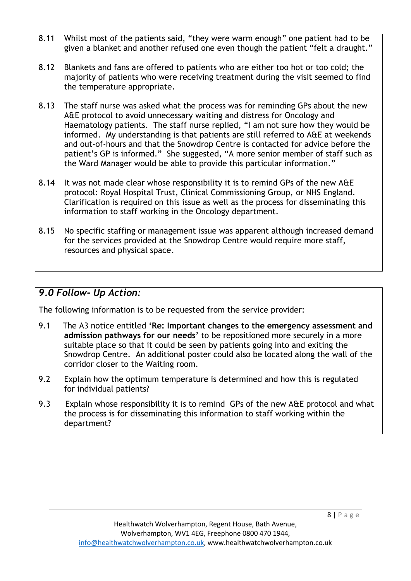- 8.11 Whilst most of the patients said, "they were warm enough" one patient had to be given a blanket and another refused one even though the patient "felt a draught."
- 8.12 Blankets and fans are offered to patients who are either too hot or too cold; the majority of patients who were receiving treatment during the visit seemed to find the temperature appropriate.
- 8.13 The staff nurse was asked what the process was for reminding GPs about the new A&E protocol to avoid unnecessary waiting and distress for Oncology and Haematology patients. The staff nurse replied, "I am not sure how they would be informed. My understanding is that patients are still referred to A&E at weekends and out-of-hours and that the Snowdrop Centre is contacted for advice before the patient's GP is informed." She suggested, "A more senior member of staff such as the Ward Manager would be able to provide this particular information."
- 8.14 It was not made clear whose responsibility it is to remind GPs of the new A&E protocol: Royal Hospital Trust, Clinical Commissioning Group, or NHS England. Clarification is required on this issue as well as the process for disseminating this information to staff working in the Oncology department.
- 8.15 No specific staffing or management issue was apparent although increased demand for the services provided at the Snowdrop Centre would require more staff, resources and physical space.

### *9.0 Follow- Up Action:*

The following information is to be requested from the service provider:

- 9.1 The A3 notice entitled **'Re: Important changes to the emergency assessment and admission pathways for our needs'** to be repositioned more securely in a more suitable place so that it could be seen by patients going into and exiting the Snowdrop Centre. An additional poster could also be located along the wall of the corridor closer to the Waiting room.
- 9.2 Explain how the optimum temperature is determined and how this is regulated for individual patients?
- 9.3 Explain whose responsibility it is to remind GPs of the new A&E protocol and what the process is for disseminating this information to staff working within the department?

8 | P a g e